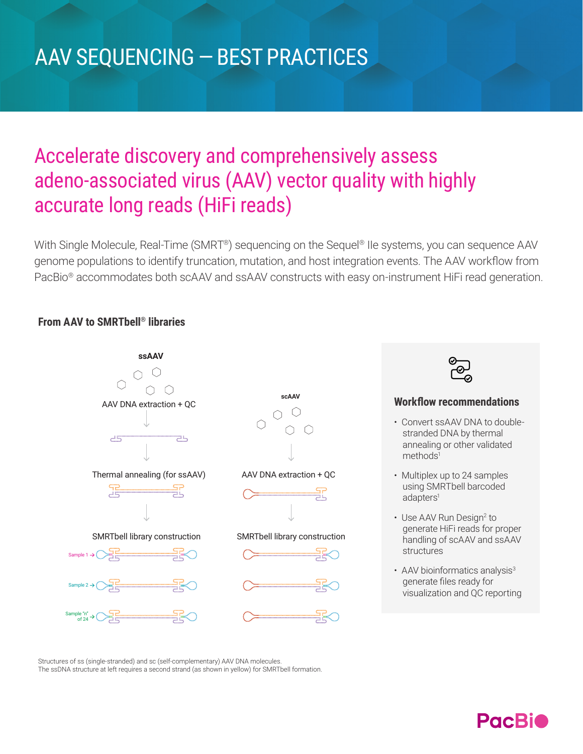# AAV SEQUENCING — BEST PRACTICES

## Accelerate discovery and comprehensively assess adeno-associated virus (AAV) vector quality with highly accurate long reads (HiFi reads)

With Single Molecule, Real-Time (SMRT®) sequencing on the Sequel® IIe systems, you can sequence AAV genome populations to identify truncation, mutation, and host integration events. The AAV workflow from PacBio® accommodates both scAAV and ssAAV constructs with easy on-instrument HiFi read generation.

### **From AAV to SMRTbell® libraries**





### **Workflow recommendations**

- Convert ssAAV DNA to doublestranded DNA by thermal annealing or other validated methods<sup>1</sup>
- Multiplex up to 24 samples using SMRTbell barcoded adapters<sup>1</sup>
- Use AAV Run Design<sup>2</sup> to generate HiFi reads for proper handling of scAAV and ssAAV structures
- AAV bioinformatics analysis<sup>3</sup> generate files ready for visualization and QC reporting

Structures of ss (single-stranded) and sc (self-complementary) AAV DNA molecules. The ssDNA structure at left requires a second strand (as shown in yellow) for SMRTbell formation.